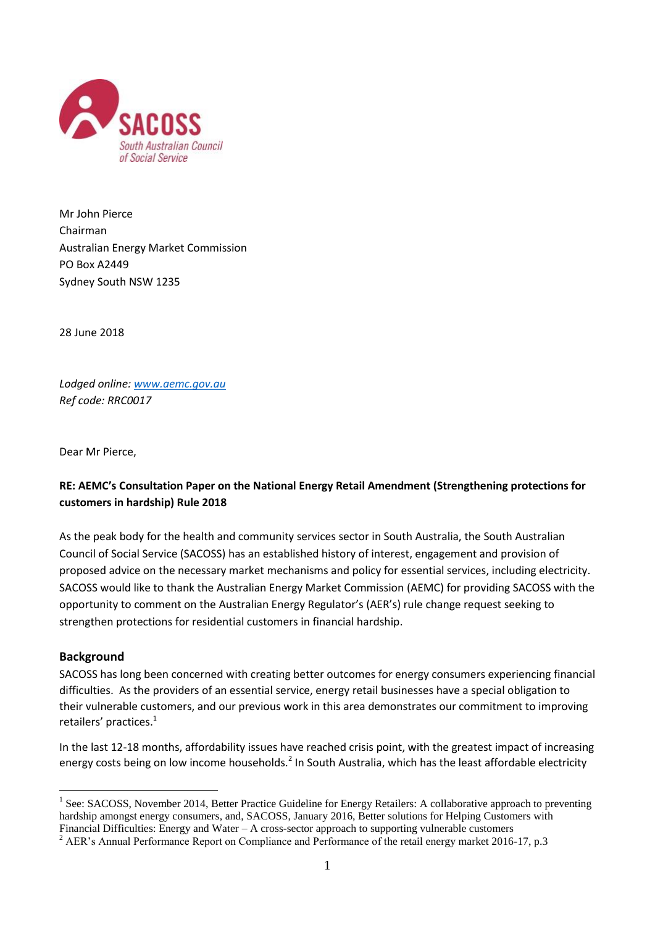

Mr John Pierce Chairman Australian Energy Market Commission PO Box A2449 Sydney South NSW 1235

28 June 2018

*Lodged online[: www.aemc.gov.au](http://www.aemc.gov.au/) Ref code: RRC0017*

Dear Mr Pierce,

# **RE: AEMC's Consultation Paper on the National Energy Retail Amendment (Strengthening protections for customers in hardship) Rule 2018**

As the peak body for the health and community services sector in South Australia, the South Australian Council of Social Service (SACOSS) has an established history of interest, engagement and provision of proposed advice on the necessary market mechanisms and policy for essential services, including electricity. SACOSS would like to thank the Australian Energy Market Commission (AEMC) for providing SACOSS with the opportunity to comment on the Australian Energy Regulator's (AER's) rule change request seeking to strengthen protections for residential customers in financial hardship.

## **Background**

1

SACOSS has long been concerned with creating better outcomes for energy consumers experiencing financial difficulties. As the providers of an essential service, energy retail businesses have a special obligation to their vulnerable customers, and our previous work in this area demonstrates our commitment to improving retailers' practices.<sup>1</sup>

In the last 12-18 months, affordability issues have reached crisis point, with the greatest impact of increasing energy costs being on low income households.<sup>2</sup> In South Australia, which has the least affordable electricity

 $<sup>1</sup>$  See: SACOSS, November 2014, Better Practice Guideline for Energy Retailers: A collaborative approach to preventing</sup> hardship amongst energy consumers, and, SACOSS, January 2016, Better solutions for Helping Customers with Financial Difficulties: Energy and Water – A cross-sector approach to supporting vulnerable customers

<sup>&</sup>lt;sup>2</sup> AER's Annual Performance Report on Compliance and Performance of the retail energy market 2016-17, p.3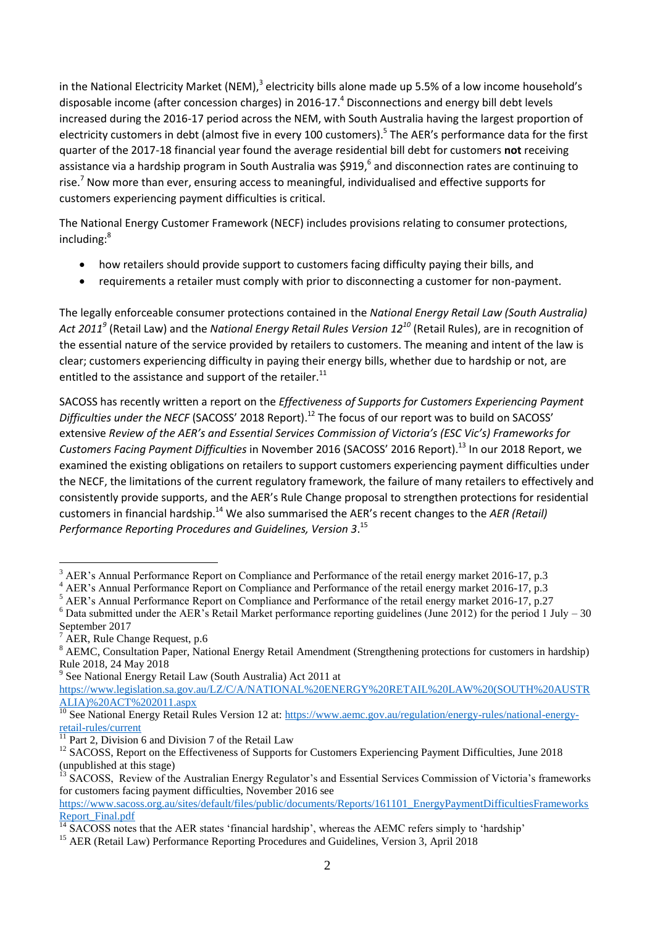in the National Electricity Market (NEM),<sup>3</sup> electricity bills alone made up 5.5% of a low income household's disposable income (after concession charges) in 2016-17. <sup>4</sup> Disconnections and energy bill debt levels increased during the 2016-17 period across the NEM, with South Australia having the largest proportion of electricity customers in debt (almost five in every 100 customers).<sup>5</sup> The AER's performance data for the first quarter of the 2017-18 financial year found the average residential bill debt for customers **not** receiving assistance via a hardship program in South Australia was \$919,<sup>6</sup> and disconnection rates are continuing to rise.<sup>7</sup> Now more than ever, ensuring access to meaningful, individualised and effective supports for customers experiencing payment difficulties is critical.

The National Energy Customer Framework (NECF) includes provisions relating to consumer protections, including:<sup>8</sup>

- how retailers should provide support to customers facing difficulty paying their bills, and
- requirements a retailer must comply with prior to disconnecting a customer for non-payment.

The legally enforceable consumer protections contained in the *National Energy Retail Law (South Australia) Act 2011<sup>9</sup>* (Retail Law) and the *National Energy Retail Rules Version 12<sup>10</sup>* (Retail Rules), are in recognition of the essential nature of the service provided by retailers to customers. The meaning and intent of the law is clear; customers experiencing difficulty in paying their energy bills, whether due to hardship or not, are entitled to the assistance and support of the retailer. $^{11}$ 

SACOSS has recently written a report on the *Effectiveness of Supports for Customers Experiencing Payment Difficulties under the NECF* (SACOSS' 2018 Report). <sup>12</sup> The focus of our report was to build on SACOSS' extensive *Review of the AER's and Essential Services Commission of Victoria's (ESC Vic's) Frameworks for Customers Facing Payment Difficulties* in November 2016 (SACOSS' 2016 Report). <sup>13</sup> In our 2018 Report, we examined the existing obligations on retailers to support customers experiencing payment difficulties under the NECF, the limitations of the current regulatory framework, the failure of many retailers to effectively and consistently provide supports, and the AER's Rule Change proposal to strengthen protections for residential customers in financial hardship.<sup>14</sup> We also summarised the AER's recent changes to the AER (Retail) *Performance Reporting Procedures and Guidelines, Version 3*. 15

1

<sup>9</sup> See National Energy Retail Law (South Australia) Act 2011 at

<sup>&</sup>lt;sup>3</sup> AER's Annual Performance Report on Compliance and Performance of the retail energy market 2016-17, p.3

AER's Annual Performance Report on Compliance and Performance of the retail energy market 2016-17, p.3

<sup>5</sup> AER's Annual Performance Report on Compliance and Performance of the retail energy market 2016-17, p.27

 $6$  Data submitted under the AER's Retail Market performance reporting guidelines (June 2012) for the period 1 July – 30 September 2017

AER, Rule Change Request, p.6

<sup>&</sup>lt;sup>8</sup> AEMC, Consultation Paper, National Energy Retail Amendment (Strengthening protections for customers in hardship) Rule 2018, 24 May 2018

[https://www.legislation.sa.gov.au/LZ/C/A/NATIONAL%20ENERGY%20RETAIL%20LAW%20\(SOUTH%20AUSTR](https://www.legislation.sa.gov.au/LZ/C/A/NATIONAL%20ENERGY%20RETAIL%20LAW%20(SOUTH%20AUSTRALIA)%20ACT%202011.aspx) [ALIA\)%20ACT%202011.aspx](https://www.legislation.sa.gov.au/LZ/C/A/NATIONAL%20ENERGY%20RETAIL%20LAW%20(SOUTH%20AUSTRALIA)%20ACT%202011.aspx)

<sup>&</sup>lt;sup>10</sup> See National Energy Retail Rules Version 12 at: [https://www.aemc.gov.au/regulation/energy-rules/national-energy](https://www.aemc.gov.au/regulation/energy-rules/national-energy-retail-rules/current)[retail-rules/current](https://www.aemc.gov.au/regulation/energy-rules/national-energy-retail-rules/current)

Part 2, Division 6 and Division 7 of the Retail Law

<sup>&</sup>lt;sup>12</sup> SACOSS, Report on the Effectiveness of Supports for Customers Experiencing Payment Difficulties, June 2018 (unpublished at this stage)

 $3\overline{\text{SACOSS}}$ , Review of the Australian Energy Regulator's and Essential Services Commission of Victoria's frameworks for customers facing payment difficulties, November 2016 see

[https://www.sacoss.org.au/sites/default/files/public/documents/Reports/161101\\_EnergyPaymentDifficultiesFrameworks](https://www.sacoss.org.au/sites/default/files/public/documents/Reports/161101_EnergyPaymentDifficultiesFrameworksReport_Final.pdf) [Report\\_Final.pdf](https://www.sacoss.org.au/sites/default/files/public/documents/Reports/161101_EnergyPaymentDifficultiesFrameworksReport_Final.pdf)

 $\frac{14}{14}$  SACOSS notes that the AER states 'financial hardship', whereas the AEMC refers simply to 'hardship'

<sup>&</sup>lt;sup>15</sup> AER (Retail Law) Performance Reporting Procedures and Guidelines, Version 3, April 2018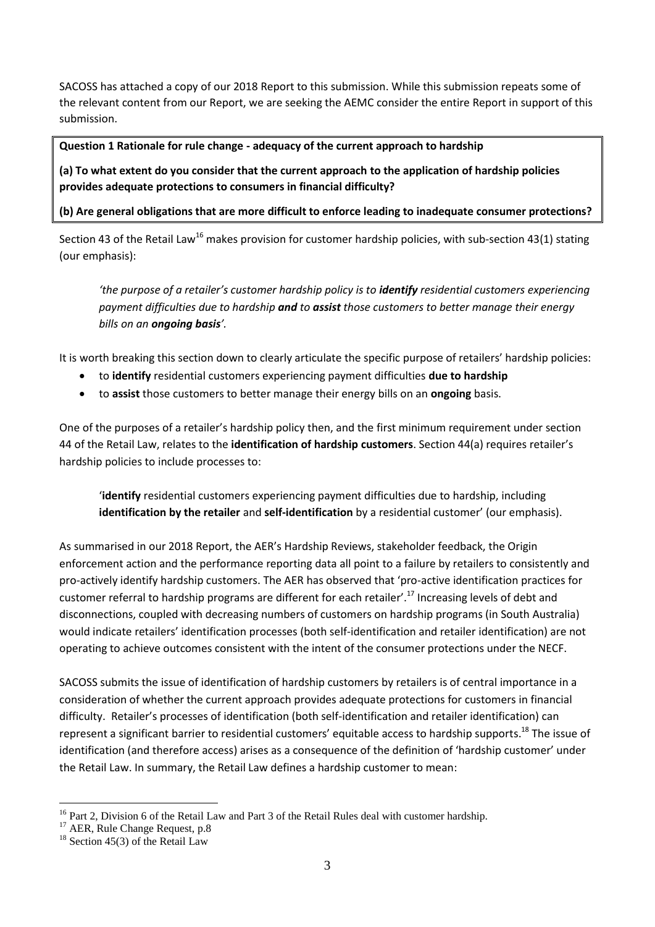SACOSS has attached a copy of our 2018 Report to this submission. While this submission repeats some of the relevant content from our Report, we are seeking the AEMC consider the entire Report in support of this submission.

### **Question 1 Rationale for rule change - adequacy of the current approach to hardship**

**(a) To what extent do you consider that the current approach to the application of hardship policies provides adequate protections to consumers in financial difficulty?**

**(b) Are general obligations that are more difficult to enforce leading to inadequate consumer protections?**

Section 43 of the Retail Law<sup>16</sup> makes provision for customer hardship policies, with sub-section 43(1) stating (our emphasis):

*'the purpose of a retailer's customer hardship policy is to <i>identify* residential customers experiencing *payment difficulties due to hardship and to assist those customers to better manage their energy bills on an ongoing basis'.*

It is worth breaking this section down to clearly articulate the specific purpose of retailers' hardship policies:

- to **identify** residential customers experiencing payment difficulties **due to hardship**
- to **assist** those customers to better manage their energy bills on an **ongoing** basis.

One of the purposes of a retailer's hardship policy then, and the first minimum requirement under section 44 of the Retail Law, relates to the **identification of hardship customers**. Section 44(a) requires retailer's hardship policies to include processes to:

'**identify** residential customers experiencing payment difficulties due to hardship, including **identification by the retailer** and **self-identification** by a residential customer' (our emphasis).

As summarised in our 2018 Report, the AER's Hardship Reviews, stakeholder feedback, the Origin enforcement action and the performance reporting data all point to a failure by retailers to consistently and pro-actively identify hardship customers. The AER has observed that 'pro-active identification practices for customer referral to hardship programs are different for each retailer'.<sup>17</sup> Increasing levels of debt and disconnections, coupled with decreasing numbers of customers on hardship programs (in South Australia) would indicate retailers' identification processes (both self-identification and retailer identification) are not operating to achieve outcomes consistent with the intent of the consumer protections under the NECF.

SACOSS submits the issue of identification of hardship customers by retailers is of central importance in a consideration of whether the current approach provides adequate protections for customers in financial difficulty. Retailer's processes of identification (both self-identification and retailer identification) can represent a significant barrier to residential customers' equitable access to hardship supports.<sup>18</sup> The issue of identification (and therefore access) arises as a consequence of the definition of 'hardship customer' under the Retail Law. In summary, the Retail Law defines a hardship customer to mean:

<sup>&</sup>lt;u>.</u> <sup>16</sup> Part 2, Division 6 of the Retail Law and Part 3 of the Retail Rules deal with customer hardship.

<sup>&</sup>lt;sup>17</sup> AER. Rule Change Request, p.8

 $18$  Section 45(3) of the Retail Law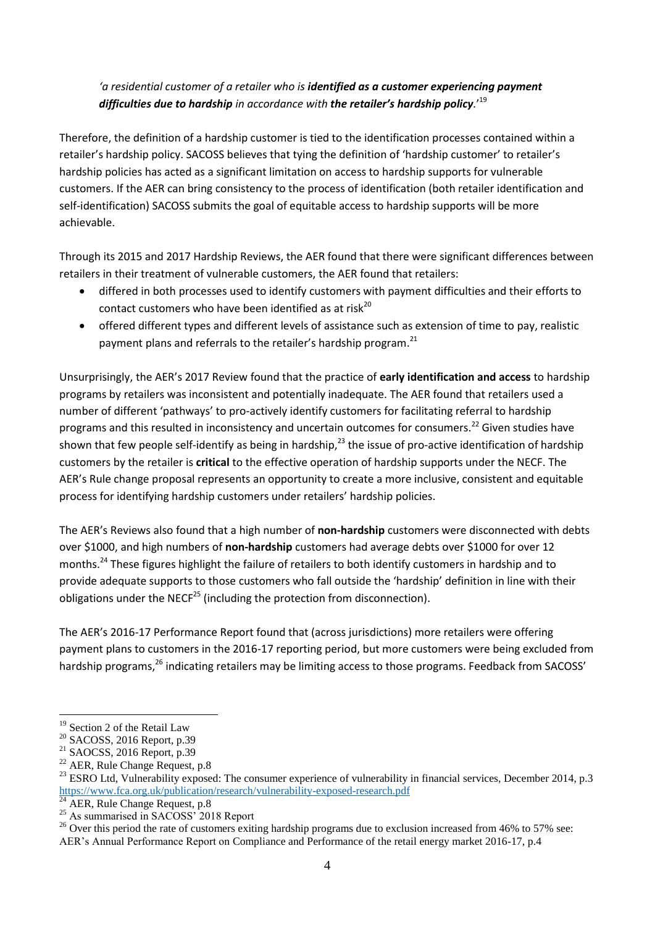# *'a residential customer of a retailer who is identified as a customer experiencing payment difficulties due to hardship in accordance with the retailer's hardship policy.*' 19

Therefore, the definition of a hardship customer is tied to the identification processes contained within a retailer's hardship policy. SACOSS believes that tying the definition of 'hardship customer' to retailer's hardship policies has acted as a significant limitation on access to hardship supports for vulnerable customers. If the AER can bring consistency to the process of identification (both retailer identification and self-identification) SACOSS submits the goal of equitable access to hardship supports will be more achievable.

Through its 2015 and 2017 Hardship Reviews, the AER found that there were significant differences between retailers in their treatment of vulnerable customers, the AER found that retailers:

- differed in both processes used to identify customers with payment difficulties and their efforts to contact customers who have been identified as at risk<sup>20</sup>
- offered different types and different levels of assistance such as extension of time to pay, realistic payment plans and referrals to the retailer's hardship program.<sup>21</sup>

Unsurprisingly, the AER's 2017 Review found that the practice of **early identification and access** to hardship programs by retailers was inconsistent and potentially inadequate. The AER found that retailers used a number of different 'pathways' to pro-actively identify customers for facilitating referral to hardship programs and this resulted in inconsistency and uncertain outcomes for consumers.<sup>22</sup> Given studies have shown that few people self-identify as being in hardship,<sup>23</sup> the issue of pro-active identification of hardship customers by the retailer is **critical** to the effective operation of hardship supports under the NECF. The AER's Rule change proposal represents an opportunity to create a more inclusive, consistent and equitable process for identifying hardship customers under retailers' hardship policies.

The AER's Reviews also found that a high number of **non-hardship** customers were disconnected with debts over \$1000, and high numbers of **non-hardship** customers had average debts over \$1000 for over 12 months.<sup>24</sup> These figures highlight the failure of retailers to both identify customers in hardship and to provide adequate supports to those customers who fall outside the 'hardship' definition in line with their obligations under the NECF<sup>25</sup> (including the protection from disconnection).

The AER's 2016-17 Performance Report found that (across jurisdictions) more retailers were offering payment plans to customers in the 2016-17 reporting period, but more customers were being excluded from hardship programs.<sup>26</sup> indicating retailers may be limiting access to those programs. Feedback from SACOSS'

<sup>&</sup>lt;sup>19</sup> Section 2 of the Retail Law

<sup>&</sup>lt;sup>20</sup> SACOSS, 2016 Report, p.39

<sup>21</sup> SAOCSS, 2016 Report, p.39

<sup>&</sup>lt;sup>22</sup> AER, Rule Change Request, p.8

<sup>&</sup>lt;sup>23</sup> ESRO Ltd, Vulnerability exposed: The consumer experience of vulnerability in financial services, December 2014, p.3 <https://www.fca.org.uk/publication/research/vulnerability-exposed-research.pdf>

 $\overline{^{24}$  AER, Rule Change Request, p.8

<sup>&</sup>lt;sup>25</sup> As summarised in SACOSS' 2018 Report

<sup>&</sup>lt;sup>26</sup> Over this period the rate of customers exiting hardship programs due to exclusion increased from 46% to 57% see: AER's Annual Performance Report on Compliance and Performance of the retail energy market 2016-17, p.4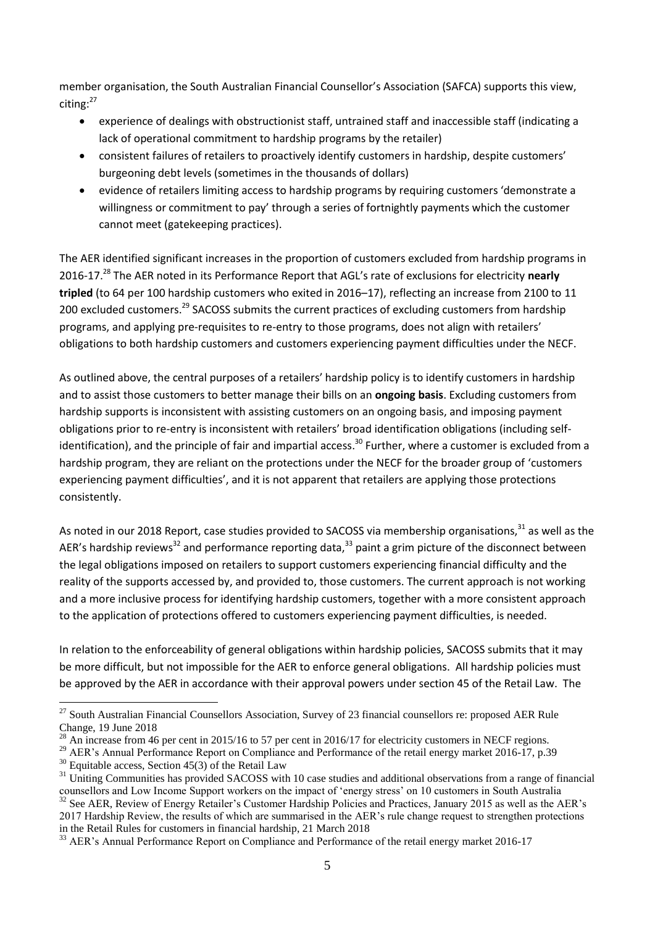member organisation, the South Australian Financial Counsellor's Association (SAFCA) supports this view, citing:<sup>27</sup>

- experience of dealings with obstructionist staff, untrained staff and inaccessible staff (indicating a lack of operational commitment to hardship programs by the retailer)
- consistent failures of retailers to proactively identify customers in hardship, despite customers' burgeoning debt levels (sometimes in the thousands of dollars)
- evidence of retailers limiting access to hardship programs by requiring customers 'demonstrate a willingness or commitment to pay' through a series of fortnightly payments which the customer cannot meet (gatekeeping practices).

The AER identified significant increases in the proportion of customers excluded from hardship programs in 2016-17.<sup>28</sup> The AER noted in its Performance Report that AGL's rate of exclusions for electricity **nearly tripled** (to 64 per 100 hardship customers who exited in 2016–17), reflecting an increase from 2100 to 11 200 excluded customers.<sup>29</sup> SACOSS submits the current practices of excluding customers from hardship programs, and applying pre-requisites to re-entry to those programs, does not align with retailers' obligations to both hardship customers and customers experiencing payment difficulties under the NECF.

As outlined above, the central purposes of a retailers' hardship policy is to identify customers in hardship and to assist those customers to better manage their bills on an **ongoing basis**. Excluding customers from hardship supports is inconsistent with assisting customers on an ongoing basis, and imposing payment obligations prior to re-entry is inconsistent with retailers' broad identification obligations (including selfidentification), and the principle of fair and impartial access.<sup>30</sup> Further, where a customer is excluded from a hardship program, they are reliant on the protections under the NECF for the broader group of 'customers experiencing payment difficulties', and it is not apparent that retailers are applying those protections consistently.

As noted in our 2018 Report, case studies provided to SACOSS via membership organisations,<sup>31</sup> as well as the AER's hardship reviews<sup>32</sup> and performance reporting data.<sup>33</sup> paint a grim picture of the disconnect between the legal obligations imposed on retailers to support customers experiencing financial difficulty and the reality of the supports accessed by, and provided to, those customers. The current approach is not working and a more inclusive process for identifying hardship customers, together with a more consistent approach to the application of protections offered to customers experiencing payment difficulties, is needed.

In relation to the enforceability of general obligations within hardship policies, SACOSS submits that it may be more difficult, but not impossible for the AER to enforce general obligations. All hardship policies must be approved by the AER in accordance with their approval powers under section 45 of the Retail Law. The

<sup>29</sup> AER's Annual Performance Report on Compliance and Performance of the retail energy market 2016-17, p.39

 $27$  South Australian Financial Counsellors Association, Survey of 23 financial counsellors re: proposed AER Rule Change, 19 June 2018

<sup>&</sup>lt;sup>28</sup> An increase from 46 per cent in 2015/16 to 57 per cent in 2016/17 for electricity customers in NECF regions.

 $30$  Equitable access, Section 45(3) of the Retail Law

 $31$  Uniting Communities has provided SACOSS with 10 case studies and additional observations from a range of financial counsellors and Low Income Support workers on the impact of 'energy stress' on 10 customers in South Australia <sup>32</sup> See AER, Review of Energy Retailer's Customer Hardship Policies and Practices, January 2015 as well as the AER's

<sup>2017</sup> Hardship Review, the results of which are summarised in the AER's rule change request to strengthen protections in the Retail Rules for customers in financial hardship, 21 March 2018

<sup>&</sup>lt;sup>33</sup> AER's Annual Performance Report on Compliance and Performance of the retail energy market 2016-17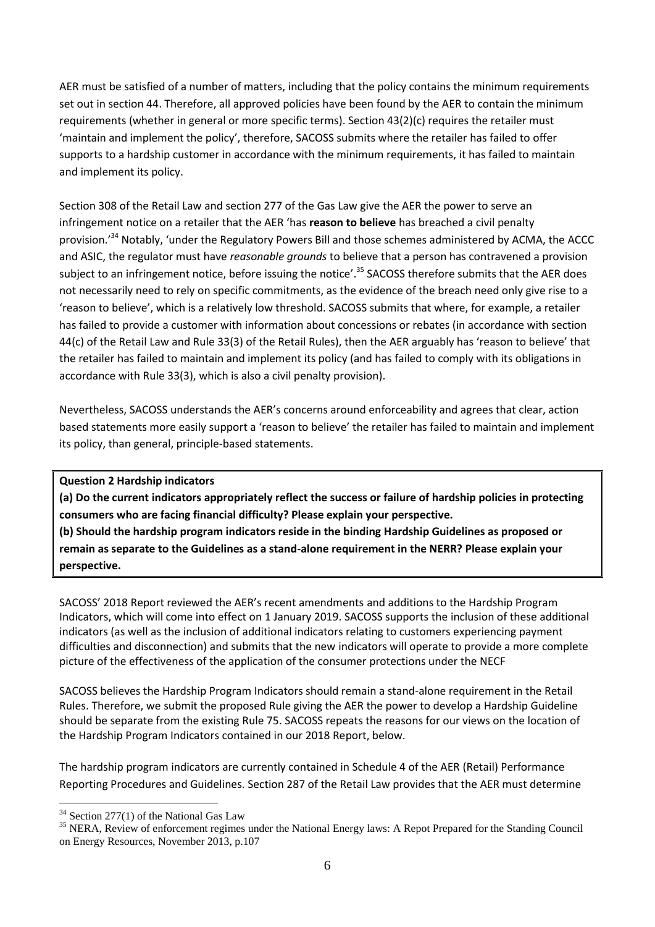AER must be satisfied of a number of matters, including that the policy contains the minimum requirements set out in section 44. Therefore, all approved policies have been found by the AER to contain the minimum requirements (whether in general or more specific terms). Section 43(2)(c) requires the retailer must 'maintain and implement the policy', therefore, SACOSS submits where the retailer has failed to offer supports to a hardship customer in accordance with the minimum requirements, it has failed to maintain and implement its policy.

Section 308 of the Retail Law and section 277 of the Gas Law give the AER the power to serve an infringement notice on a retailer that the AER 'has **reason to believe** has breached a civil penalty provision.'<sup>34</sup> Notably, 'under the Regulatory Powers Bill and those schemes administered by ACMA, the ACCC and ASIC, the regulator must have *reasonable grounds* to believe that a person has contravened a provision subject to an infringement notice, before issuing the notice'.<sup>35</sup> SACOSS therefore submits that the AER does not necessarily need to rely on specific commitments, as the evidence of the breach need only give rise to a 'reason to believe', which is a relatively low threshold. SACOSS submits that where, for example, a retailer has failed to provide a customer with information about concessions or rebates (in accordance with section 44(c) of the Retail Law and Rule 33(3) of the Retail Rules), then the AER arguably has 'reason to believe' that the retailer has failed to maintain and implement its policy (and has failed to comply with its obligations in accordance with Rule 33(3), which is also a civil penalty provision).

Nevertheless, SACOSS understands the AER's concerns around enforceability and agrees that clear, action based statements more easily support a 'reason to believe' the retailer has failed to maintain and implement its policy, than general, principle-based statements.

#### **Question 2 Hardship indicators**

**(a) Do the current indicators appropriately reflect the success or failure of hardship policies in protecting consumers who are facing financial difficulty? Please explain your perspective.**

**(b) Should the hardship program indicators reside in the binding Hardship Guidelines as proposed or remain as separate to the Guidelines as a stand-alone requirement in the NERR? Please explain your perspective.**

SACOSS' 2018 Report reviewed the AER's recent amendments and additions to the Hardship Program Indicators, which will come into effect on 1 January 2019. SACOSS supports the inclusion of these additional indicators (as well as the inclusion of additional indicators relating to customers experiencing payment difficulties and disconnection) and submits that the new indicators will operate to provide a more complete picture of the effectiveness of the application of the consumer protections under the NECF

SACOSS believes the Hardship Program Indicators should remain a stand-alone requirement in the Retail Rules. Therefore, we submit the proposed Rule giving the AER the power to develop a Hardship Guideline should be separate from the existing Rule 75. SACOSS repeats the reasons for our views on the location of the Hardship Program Indicators contained in our 2018 Report, below.

The hardship program indicators are currently contained in Schedule 4 of the AER (Retail) Performance Reporting Procedures and Guidelines. Section 287 of the Retail Law provides that the AER must determine

 $34$  Section 277(1) of the National Gas Law

<sup>&</sup>lt;sup>35</sup> NERA, Review of enforcement regimes under the National Energy laws: A Repot Prepared for the Standing Council on Energy Resources, November 2013, p.107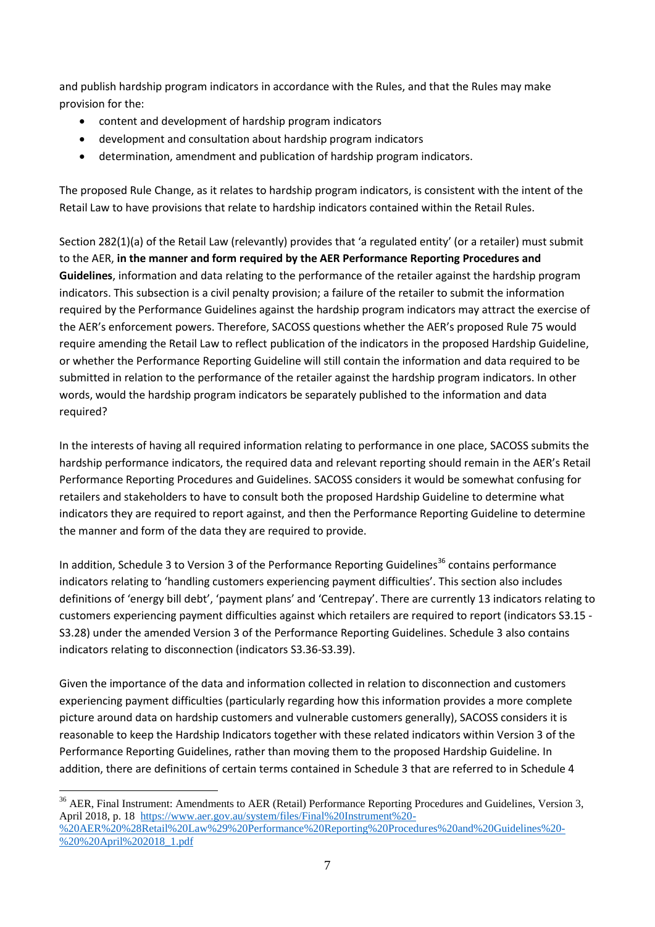and publish hardship program indicators in accordance with the Rules, and that the Rules may make provision for the:

- content and development of hardship program indicators
- development and consultation about hardship program indicators
- determination, amendment and publication of hardship program indicators.

The proposed Rule Change, as it relates to hardship program indicators, is consistent with the intent of the Retail Law to have provisions that relate to hardship indicators contained within the Retail Rules.

Section 282(1)(a) of the Retail Law (relevantly) provides that 'a regulated entity' (or a retailer) must submit to the AER, **in the manner and form required by the AER Performance Reporting Procedures and Guidelines**, information and data relating to the performance of the retailer against the hardship program indicators. This subsection is a civil penalty provision; a failure of the retailer to submit the information required by the Performance Guidelines against the hardship program indicators may attract the exercise of the AER's enforcement powers. Therefore, SACOSS questions whether the AER's proposed Rule 75 would require amending the Retail Law to reflect publication of the indicators in the proposed Hardship Guideline, or whether the Performance Reporting Guideline will still contain the information and data required to be submitted in relation to the performance of the retailer against the hardship program indicators. In other words, would the hardship program indicators be separately published to the information and data required?

In the interests of having all required information relating to performance in one place, SACOSS submits the hardship performance indicators, the required data and relevant reporting should remain in the AER's Retail Performance Reporting Procedures and Guidelines. SACOSS considers it would be somewhat confusing for retailers and stakeholders to have to consult both the proposed Hardship Guideline to determine what indicators they are required to report against, and then the Performance Reporting Guideline to determine the manner and form of the data they are required to provide.

In addition, Schedule 3 to Version 3 of the Performance Reporting Guidelines<sup>36</sup> contains performance indicators relating to 'handling customers experiencing payment difficulties'. This section also includes definitions of 'energy bill debt', 'payment plans' and 'Centrepay'. There are currently 13 indicators relating to customers experiencing payment difficulties against which retailers are required to report (indicators S3.15 - S3.28) under the amended Version 3 of the Performance Reporting Guidelines. Schedule 3 also contains indicators relating to disconnection (indicators S3.36-S3.39).

Given the importance of the data and information collected in relation to disconnection and customers experiencing payment difficulties (particularly regarding how this information provides a more complete picture around data on hardship customers and vulnerable customers generally), SACOSS considers it is reasonable to keep the Hardship Indicators together with these related indicators within Version 3 of the Performance Reporting Guidelines, rather than moving them to the proposed Hardship Guideline. In addition, there are definitions of certain terms contained in Schedule 3 that are referred to in Schedule 4

<sup>&</sup>lt;sup>36</sup> AER, Final Instrument: Amendments to AER (Retail) Performance Reporting Procedures and Guidelines, Version 3, April 2018, p. 18 [https://www.aer.gov.au/system/files/Final%20Instrument%20-](https://www.aer.gov.au/system/files/Final%20Instrument%20-%20AER%20%28Retail%20Law%29%20Performance%20Reporting%20Procedures%20and%20Guidelines%20-%20%20April%202018_1.pdf) [%20AER%20%28Retail%20Law%29%20Performance%20Reporting%20Procedures%20and%20Guidelines%20-](https://www.aer.gov.au/system/files/Final%20Instrument%20-%20AER%20%28Retail%20Law%29%20Performance%20Reporting%20Procedures%20and%20Guidelines%20-%20%20April%202018_1.pdf) [%20%20April%202018\\_1.pdf](https://www.aer.gov.au/system/files/Final%20Instrument%20-%20AER%20%28Retail%20Law%29%20Performance%20Reporting%20Procedures%20and%20Guidelines%20-%20%20April%202018_1.pdf)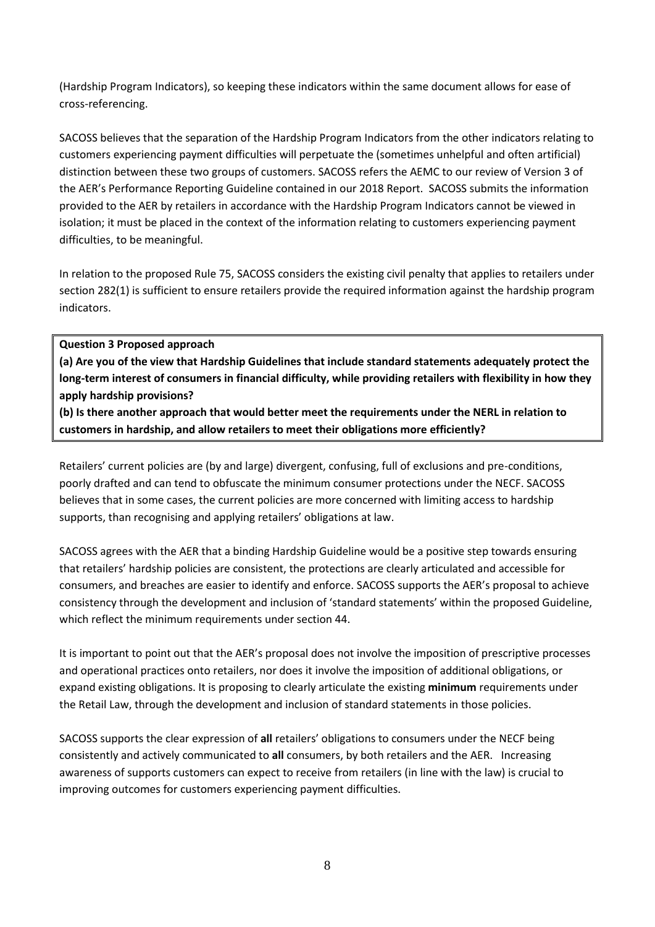(Hardship Program Indicators), so keeping these indicators within the same document allows for ease of cross-referencing.

SACOSS believes that the separation of the Hardship Program Indicators from the other indicators relating to customers experiencing payment difficulties will perpetuate the (sometimes unhelpful and often artificial) distinction between these two groups of customers. SACOSS refers the AEMC to our review of Version 3 of the AER's Performance Reporting Guideline contained in our 2018 Report. SACOSS submits the information provided to the AER by retailers in accordance with the Hardship Program Indicators cannot be viewed in isolation; it must be placed in the context of the information relating to customers experiencing payment difficulties, to be meaningful.

In relation to the proposed Rule 75, SACOSS considers the existing civil penalty that applies to retailers under section 282(1) is sufficient to ensure retailers provide the required information against the hardship program indicators.

#### **Question 3 Proposed approach**

**(a) Are you of the view that Hardship Guidelines that include standard statements adequately protect the long-term interest of consumers in financial difficulty, while providing retailers with flexibility in how they apply hardship provisions?**

**(b) Is there another approach that would better meet the requirements under the NERL in relation to customers in hardship, and allow retailers to meet their obligations more efficiently?**

Retailers' current policies are (by and large) divergent, confusing, full of exclusions and pre-conditions, poorly drafted and can tend to obfuscate the minimum consumer protections under the NECF. SACOSS believes that in some cases, the current policies are more concerned with limiting access to hardship supports, than recognising and applying retailers' obligations at law.

SACOSS agrees with the AER that a binding Hardship Guideline would be a positive step towards ensuring that retailers' hardship policies are consistent, the protections are clearly articulated and accessible for consumers, and breaches are easier to identify and enforce. SACOSS supports the AER's proposal to achieve consistency through the development and inclusion of 'standard statements' within the proposed Guideline, which reflect the minimum requirements under section 44.

It is important to point out that the AER's proposal does not involve the imposition of prescriptive processes and operational practices onto retailers, nor does it involve the imposition of additional obligations, or expand existing obligations. It is proposing to clearly articulate the existing **minimum** requirements under the Retail Law, through the development and inclusion of standard statements in those policies.

SACOSS supports the clear expression of **all** retailers' obligations to consumers under the NECF being consistently and actively communicated to **all** consumers, by both retailers and the AER. Increasing awareness of supports customers can expect to receive from retailers (in line with the law) is crucial to improving outcomes for customers experiencing payment difficulties.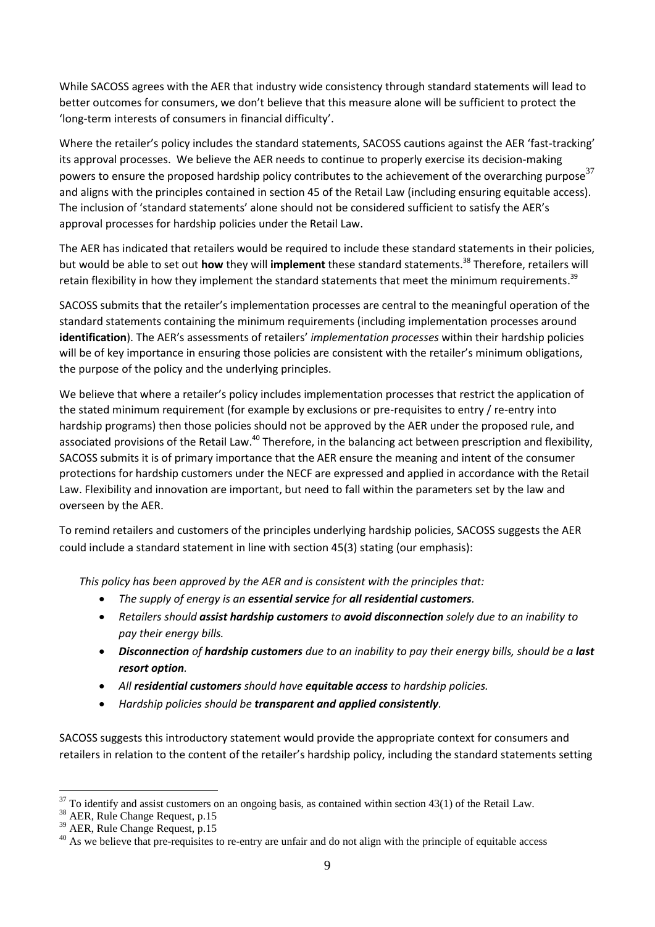While SACOSS agrees with the AER that industry wide consistency through standard statements will lead to better outcomes for consumers, we don't believe that this measure alone will be sufficient to protect the 'long-term interests of consumers in financial difficulty'.

Where the retailer's policy includes the standard statements, SACOSS cautions against the AER 'fast-tracking' its approval processes. We believe the AER needs to continue to properly exercise its decision-making powers to ensure the proposed hardship policy contributes to the achievement of the overarching purpose<sup>37</sup> and aligns with the principles contained in section 45 of the Retail Law (including ensuring equitable access). The inclusion of 'standard statements' alone should not be considered sufficient to satisfy the AER's approval processes for hardship policies under the Retail Law.

The AER has indicated that retailers would be required to include these standard statements in their policies, but would be able to set out **how** they will **implement** these standard statements.<sup>38</sup> Therefore, retailers will retain flexibility in how they implement the standard statements that meet the minimum requirements.<sup>39</sup>

SACOSS submits that the retailer's implementation processes are central to the meaningful operation of the standard statements containing the minimum requirements (including implementation processes around **identification**). The AER's assessments of retailers' *implementation processes* within their hardship policies will be of key importance in ensuring those policies are consistent with the retailer's minimum obligations, the purpose of the policy and the underlying principles.

We believe that where a retailer's policy includes implementation processes that restrict the application of the stated minimum requirement (for example by exclusions or pre-requisites to entry / re-entry into hardship programs) then those policies should not be approved by the AER under the proposed rule, and associated provisions of the Retail Law.<sup>40</sup> Therefore, in the balancing act between prescription and flexibility, SACOSS submits it is of primary importance that the AER ensure the meaning and intent of the consumer protections for hardship customers under the NECF are expressed and applied in accordance with the Retail Law. Flexibility and innovation are important, but need to fall within the parameters set by the law and overseen by the AER.

To remind retailers and customers of the principles underlying hardship policies, SACOSS suggests the AER could include a standard statement in line with section 45(3) stating (our emphasis):

*This policy has been approved by the AER and is consistent with the principles that:*

- *The supply of energy is an essential service for all residential customers.*
- *Retailers should assist hardship customers to avoid disconnection solely due to an inability to pay their energy bills.*
- *Disconnection of hardship customers due to an inability to pay their energy bills, should be a last resort option.*
- *All residential customers should have equitable access to hardship policies.*
- *Hardship policies should be transparent and applied consistently.*

SACOSS suggests this introductory statement would provide the appropriate context for consumers and retailers in relation to the content of the retailer's hardship policy, including the standard statements setting

 $37$  To identify and assist customers on an ongoing basis, as contained within section 43(1) of the Retail Law.

<sup>&</sup>lt;sup>38</sup> AER, Rule Change Request, p.15

<sup>39</sup> AER, Rule Change Request, p.15

<sup>&</sup>lt;sup>40</sup> As we believe that pre-requisites to re-entry are unfair and do not align with the principle of equitable access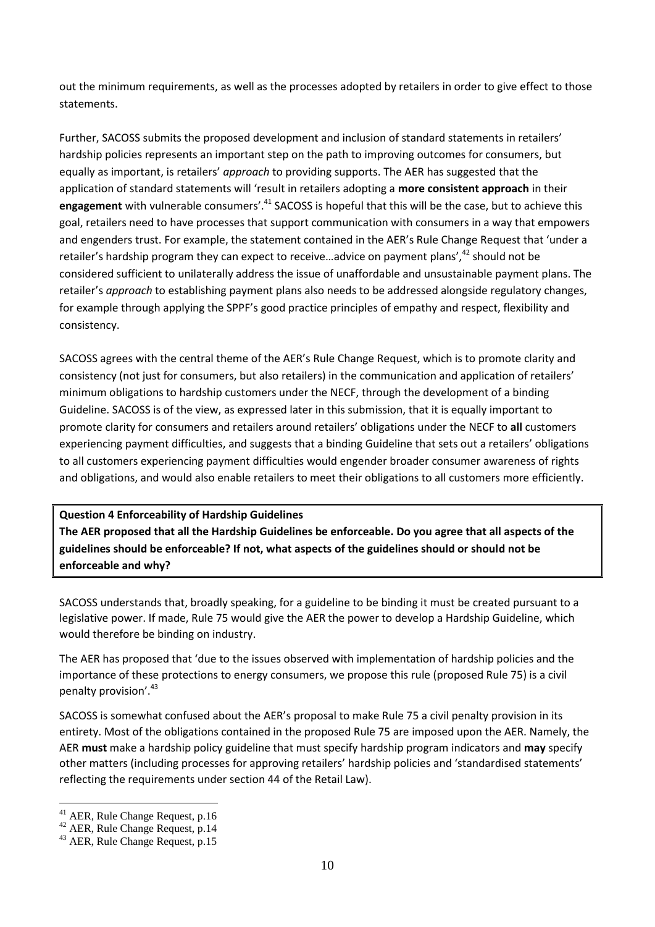out the minimum requirements, as well as the processes adopted by retailers in order to give effect to those statements.

Further, SACOSS submits the proposed development and inclusion of standard statements in retailers' hardship policies represents an important step on the path to improving outcomes for consumers, but equally as important, is retailers' *approach* to providing supports. The AER has suggested that the application of standard statements will 'result in retailers adopting a **more consistent approach** in their engagement with vulnerable consumers'.<sup>41</sup> SACOSS is hopeful that this will be the case, but to achieve this goal, retailers need to have processes that support communication with consumers in a way that empowers and engenders trust. For example, the statement contained in the AER's Rule Change Request that 'under a retailer's hardship program they can expect to receive...advice on payment plans',<sup>42</sup> should not be considered sufficient to unilaterally address the issue of unaffordable and unsustainable payment plans. The retailer's *approach* to establishing payment plans also needs to be addressed alongside regulatory changes, for example through applying the SPPF's good practice principles of empathy and respect, flexibility and consistency.

SACOSS agrees with the central theme of the AER's Rule Change Request, which is to promote clarity and consistency (not just for consumers, but also retailers) in the communication and application of retailers' minimum obligations to hardship customers under the NECF, through the development of a binding Guideline. SACOSS is of the view, as expressed later in this submission, that it is equally important to promote clarity for consumers and retailers around retailers' obligations under the NECF to **all** customers experiencing payment difficulties, and suggests that a binding Guideline that sets out a retailers' obligations to all customers experiencing payment difficulties would engender broader consumer awareness of rights and obligations, and would also enable retailers to meet their obligations to all customers more efficiently.

#### **Question 4 Enforceability of Hardship Guidelines**

**The AER proposed that all the Hardship Guidelines be enforceable. Do you agree that all aspects of the guidelines should be enforceable? If not, what aspects of the guidelines should or should not be enforceable and why?**

SACOSS understands that, broadly speaking, for a guideline to be binding it must be created pursuant to a legislative power. If made, Rule 75 would give the AER the power to develop a Hardship Guideline, which would therefore be binding on industry.

The AER has proposed that 'due to the issues observed with implementation of hardship policies and the importance of these protections to energy consumers, we propose this rule (proposed Rule 75) is a civil penalty provision'.<sup>43</sup>

SACOSS is somewhat confused about the AER's proposal to make Rule 75 a civil penalty provision in its entirety. Most of the obligations contained in the proposed Rule 75 are imposed upon the AER. Namely, the AER **must** make a hardship policy guideline that must specify hardship program indicators and **may** specify other matters (including processes for approving retailers' hardship policies and 'standardised statements' reflecting the requirements under section 44 of the Retail Law).

<sup>41</sup> AER, Rule Change Request, p.16

<sup>42</sup> AER, Rule Change Request, p.14

<sup>43</sup> AER, Rule Change Request, p.15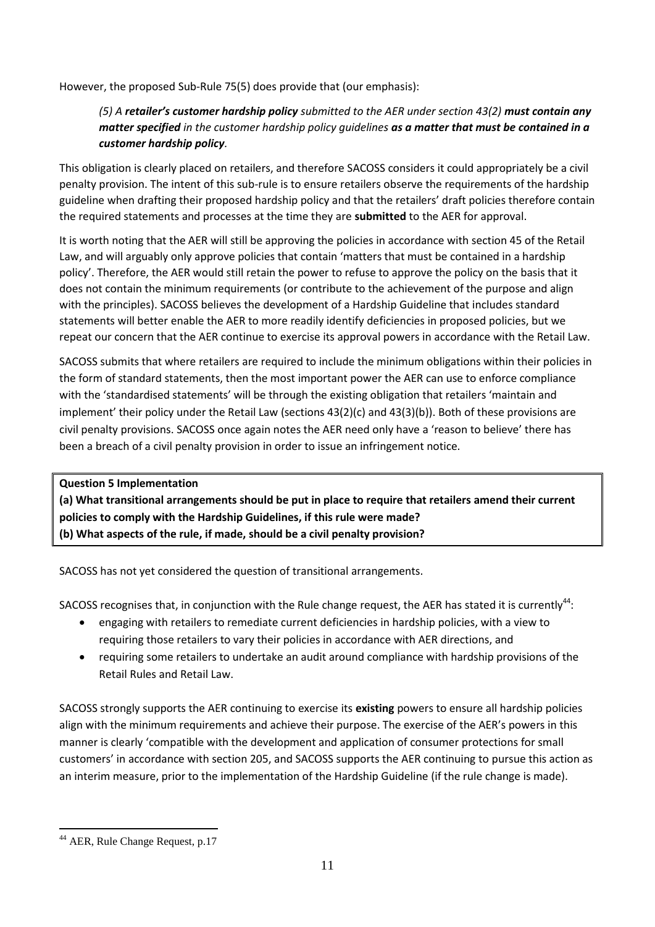However, the proposed Sub-Rule 75(5) does provide that (our emphasis):

## *(5) A retailer's customer hardship policy submitted to the AER under section 43(2) must contain any matter specified in the customer hardship policy guidelines as a matter that must be contained in a customer hardship policy.*

This obligation is clearly placed on retailers, and therefore SACOSS considers it could appropriately be a civil penalty provision. The intent of this sub-rule is to ensure retailers observe the requirements of the hardship guideline when drafting their proposed hardship policy and that the retailers' draft policies therefore contain the required statements and processes at the time they are **submitted** to the AER for approval.

It is worth noting that the AER will still be approving the policies in accordance with section 45 of the Retail Law, and will arguably only approve policies that contain 'matters that must be contained in a hardship policy'. Therefore, the AER would still retain the power to refuse to approve the policy on the basis that it does not contain the minimum requirements (or contribute to the achievement of the purpose and align with the principles). SACOSS believes the development of a Hardship Guideline that includes standard statements will better enable the AER to more readily identify deficiencies in proposed policies, but we repeat our concern that the AER continue to exercise its approval powers in accordance with the Retail Law.

SACOSS submits that where retailers are required to include the minimum obligations within their policies in the form of standard statements, then the most important power the AER can use to enforce compliance with the 'standardised statements' will be through the existing obligation that retailers 'maintain and implement' their policy under the Retail Law (sections 43(2)(c) and 43(3)(b)). Both of these provisions are civil penalty provisions. SACOSS once again notes the AER need only have a 'reason to believe' there has been a breach of a civil penalty provision in order to issue an infringement notice.

**Question 5 Implementation (a) What transitional arrangements should be put in place to require that retailers amend their current policies to comply with the Hardship Guidelines, if this rule were made? (b) What aspects of the rule, if made, should be a civil penalty provision?**

SACOSS has not yet considered the question of transitional arrangements.

SACOSS recognises that, in conjunction with the Rule change request, the AER has stated it is currently<sup>44</sup>:

- engaging with retailers to remediate current deficiencies in hardship policies, with a view to requiring those retailers to vary their policies in accordance with AER directions, and
- requiring some retailers to undertake an audit around compliance with hardship provisions of the Retail Rules and Retail Law.

SACOSS strongly supports the AER continuing to exercise its **existing** powers to ensure all hardship policies align with the minimum requirements and achieve their purpose. The exercise of the AER's powers in this manner is clearly 'compatible with the development and application of consumer protections for small customers' in accordance with section 205, and SACOSS supports the AER continuing to pursue this action as an interim measure, prior to the implementation of the Hardship Guideline (if the rule change is made).

<sup>44</sup> AER, Rule Change Request, p.17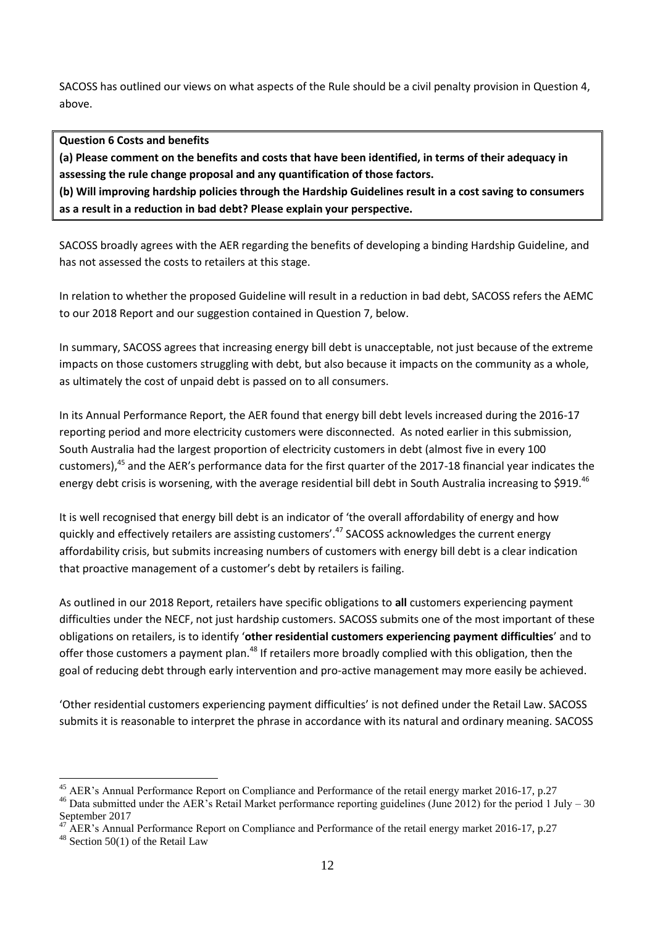SACOSS has outlined our views on what aspects of the Rule should be a civil penalty provision in Question 4, above.

#### **Question 6 Costs and benefits**

**(a) Please comment on the benefits and costs that have been identified, in terms of their adequacy in assessing the rule change proposal and any quantification of those factors. (b) Will improving hardship policies through the Hardship Guidelines result in a cost saving to consumers** 

**as a result in a reduction in bad debt? Please explain your perspective.**

SACOSS broadly agrees with the AER regarding the benefits of developing a binding Hardship Guideline, and has not assessed the costs to retailers at this stage.

In relation to whether the proposed Guideline will result in a reduction in bad debt, SACOSS refers the AEMC to our 2018 Report and our suggestion contained in Question 7, below.

In summary, SACOSS agrees that increasing energy bill debt is unacceptable, not just because of the extreme impacts on those customers struggling with debt, but also because it impacts on the community as a whole, as ultimately the cost of unpaid debt is passed on to all consumers.

In its Annual Performance Report, the AER found that energy bill debt levels increased during the 2016-17 reporting period and more electricity customers were disconnected. As noted earlier in this submission, South Australia had the largest proportion of electricity customers in debt (almost five in every 100 customers),<sup>45</sup> and the AER's performance data for the first quarter of the 2017-18 financial year indicates the energy debt crisis is worsening, with the average residential bill debt in South Australia increasing to \$919.<sup>46</sup>

It is well recognised that energy bill debt is an indicator of 'the overall affordability of energy and how quickly and effectively retailers are assisting customers'.<sup>47</sup> SACOSS acknowledges the current energy affordability crisis, but submits increasing numbers of customers with energy bill debt is a clear indication that proactive management of a customer's debt by retailers is failing.

As outlined in our 2018 Report, retailers have specific obligations to **all** customers experiencing payment difficulties under the NECF, not just hardship customers. SACOSS submits one of the most important of these obligations on retailers, is to identify '**other residential customers experiencing payment difficulties**' and to offer those customers a payment plan.<sup>48</sup> If retailers more broadly complied with this obligation, then the goal of reducing debt through early intervention and pro-active management may more easily be achieved.

'Other residential customers experiencing payment difficulties' is not defined under the Retail Law. SACOSS submits it is reasonable to interpret the phrase in accordance with its natural and ordinary meaning. SACOSS

<sup>&</sup>lt;sup>45</sup> AER's Annual Performance Report on Compliance and Performance of the retail energy market 2016-17, p.27

 $46$  Data submitted under the AER's Retail Market performance reporting guidelines (June 2012) for the period 1 July – 30 September 2017

AER's Annual Performance Report on Compliance and Performance of the retail energy market 2016-17, p.27

<sup>48</sup> Section 50(1) of the Retail Law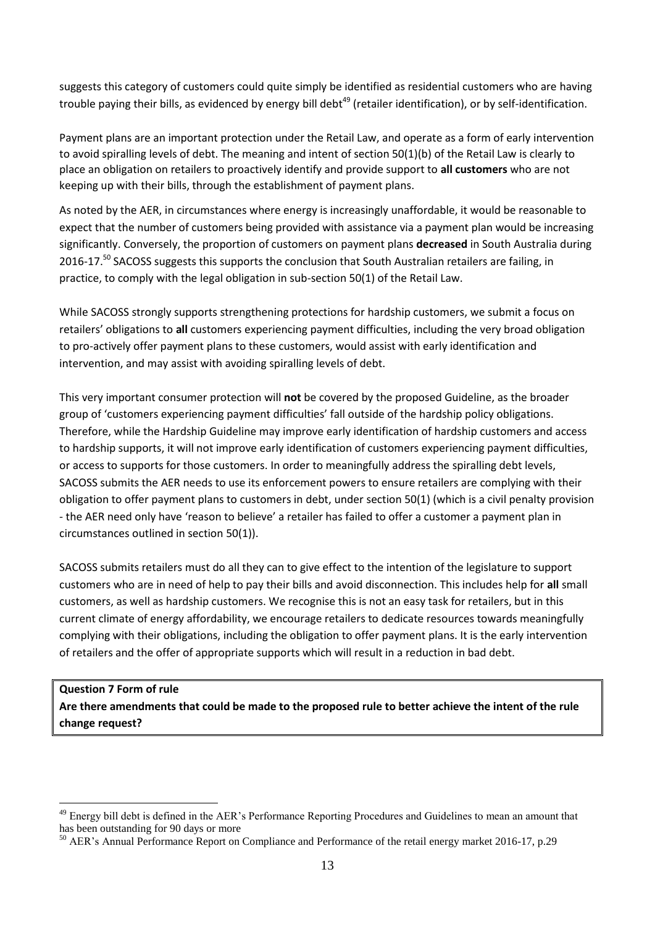suggests this category of customers could quite simply be identified as residential customers who are having trouble paying their bills, as evidenced by energy bill debt<sup>49</sup> (retailer identification), or by self-identification.

Payment plans are an important protection under the Retail Law, and operate as a form of early intervention to avoid spiralling levels of debt. The meaning and intent of section 50(1)(b) of the Retail Law is clearly to place an obligation on retailers to proactively identify and provide support to **all customers** who are not keeping up with their bills, through the establishment of payment plans.

As noted by the AER, in circumstances where energy is increasingly unaffordable, it would be reasonable to expect that the number of customers being provided with assistance via a payment plan would be increasing significantly. Conversely, the proportion of customers on payment plans **decreased** in South Australia during 2016-17.<sup>50</sup> SACOSS suggests this supports the conclusion that South Australian retailers are failing, in practice, to comply with the legal obligation in sub-section 50(1) of the Retail Law.

While SACOSS strongly supports strengthening protections for hardship customers, we submit a focus on retailers' obligations to **all** customers experiencing payment difficulties, including the very broad obligation to pro-actively offer payment plans to these customers, would assist with early identification and intervention, and may assist with avoiding spiralling levels of debt.

This very important consumer protection will **not** be covered by the proposed Guideline, as the broader group of 'customers experiencing payment difficulties' fall outside of the hardship policy obligations. Therefore, while the Hardship Guideline may improve early identification of hardship customers and access to hardship supports, it will not improve early identification of customers experiencing payment difficulties, or access to supports for those customers. In order to meaningfully address the spiralling debt levels, SACOSS submits the AER needs to use its enforcement powers to ensure retailers are complying with their obligation to offer payment plans to customers in debt, under section 50(1) (which is a civil penalty provision - the AER need only have 'reason to believe' a retailer has failed to offer a customer a payment plan in circumstances outlined in section 50(1)).

SACOSS submits retailers must do all they can to give effect to the intention of the legislature to support customers who are in need of help to pay their bills and avoid disconnection. This includes help for **all** small customers, as well as hardship customers. We recognise this is not an easy task for retailers, but in this current climate of energy affordability, we encourage retailers to dedicate resources towards meaningfully complying with their obligations, including the obligation to offer payment plans. It is the early intervention of retailers and the offer of appropriate supports which will result in a reduction in bad debt.

**Question 7 Form of rule Are there amendments that could be made to the proposed rule to better achieve the intent of the rule change request?**

<sup>&</sup>lt;sup>49</sup> Energy bill debt is defined in the AER's Performance Reporting Procedures and Guidelines to mean an amount that has been outstanding for 90 days or more

<sup>&</sup>lt;sup>50</sup> AER's Annual Performance Report on Compliance and Performance of the retail energy market 2016-17, p.29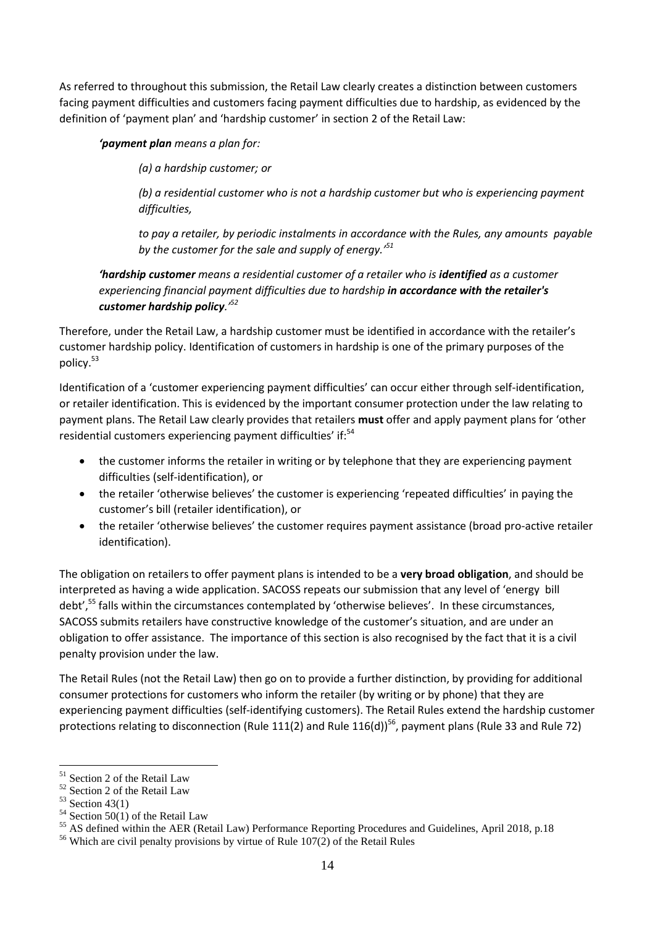As referred to throughout this submission, the Retail Law clearly creates a distinction between customers facing payment difficulties and customers facing payment difficulties due to hardship, as evidenced by the definition of 'payment plan' and 'hardship customer' in section 2 of the Retail Law:

### *'payment plan means a plan for:*

*(a) a hardship customer; or* 

*(b) a residential customer who is not a hardship customer but who is experiencing payment difficulties,* 

*to pay a retailer, by periodic instalments in accordance with the Rules, any amounts payable by the customer for the sale and supply of energy.'<sup>51</sup>*

*'hardship customer means a residential customer of a retailer who is identified as a customer experiencing financial payment difficulties due to hardship in accordance with the retailer's customer hardship policy.'<sup>52</sup>*

Therefore, under the Retail Law, a hardship customer must be identified in accordance with the retailer's customer hardship policy. Identification of customers in hardship is one of the primary purposes of the policy.<sup>53</sup>

Identification of a 'customer experiencing payment difficulties' can occur either through self-identification, or retailer identification. This is evidenced by the important consumer protection under the law relating to payment plans. The Retail Law clearly provides that retailers **must** offer and apply payment plans for 'other residential customers experiencing payment difficulties' if:<sup>54</sup>

- the customer informs the retailer in writing or by telephone that they are experiencing payment difficulties (self-identification), or
- the retailer 'otherwise believes' the customer is experiencing 'repeated difficulties' in paying the customer's bill (retailer identification), or
- the retailer 'otherwise believes' the customer requires payment assistance (broad pro-active retailer identification).

The obligation on retailers to offer payment plans is intended to be a **very broad obligation**, and should be interpreted as having a wide application. SACOSS repeats our submission that any level of 'energy bill debt',<sup>55</sup> falls within the circumstances contemplated by 'otherwise believes'. In these circumstances, SACOSS submits retailers have constructive knowledge of the customer's situation, and are under an obligation to offer assistance. The importance of this section is also recognised by the fact that it is a civil penalty provision under the law.

The Retail Rules (not the Retail Law) then go on to provide a further distinction, by providing for additional consumer protections for customers who inform the retailer (by writing or by phone) that they are experiencing payment difficulties (self-identifying customers). The Retail Rules extend the hardship customer protections relating to disconnection (Rule 111(2) and Rule 116(d))<sup>56</sup>, payment plans (Rule 33 and Rule 72)

<sup>&</sup>lt;sup>51</sup> Section 2 of the Retail Law

<sup>52</sup> Section 2 of the Retail Law

 $53$  Section 43(1)

 $54$  Section 50(1) of the Retail Law

<sup>55</sup> AS defined within the AER (Retail Law) Performance Reporting Procedures and Guidelines, April 2018, p.18

 $56$  Which are civil penalty provisions by virtue of Rule 107(2) of the Retail Rules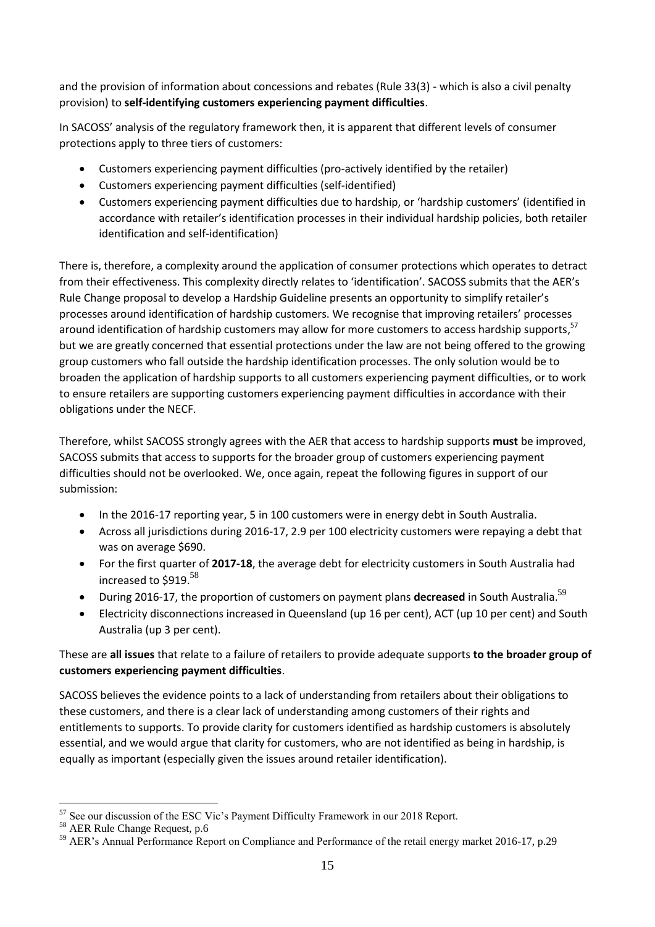and the provision of information about concessions and rebates (Rule 33(3) - which is also a civil penalty provision) to **self-identifying customers experiencing payment difficulties**.

In SACOSS' analysis of the regulatory framework then, it is apparent that different levels of consumer protections apply to three tiers of customers:

- Customers experiencing payment difficulties (pro-actively identified by the retailer)
- Customers experiencing payment difficulties (self-identified)
- Customers experiencing payment difficulties due to hardship, or 'hardship customers' (identified in accordance with retailer's identification processes in their individual hardship policies, both retailer identification and self-identification)

There is, therefore, a complexity around the application of consumer protections which operates to detract from their effectiveness. This complexity directly relates to 'identification'. SACOSS submits that the AER's Rule Change proposal to develop a Hardship Guideline presents an opportunity to simplify retailer's processes around identification of hardship customers. We recognise that improving retailers' processes around identification of hardship customers may allow for more customers to access hardship supports,<sup>57</sup> but we are greatly concerned that essential protections under the law are not being offered to the growing group customers who fall outside the hardship identification processes. The only solution would be to broaden the application of hardship supports to all customers experiencing payment difficulties, or to work to ensure retailers are supporting customers experiencing payment difficulties in accordance with their obligations under the NECF.

Therefore, whilst SACOSS strongly agrees with the AER that access to hardship supports **must** be improved, SACOSS submits that access to supports for the broader group of customers experiencing payment difficulties should not be overlooked. We, once again, repeat the following figures in support of our submission:

- In the 2016-17 reporting year, 5 in 100 customers were in energy debt in South Australia.
- Across all jurisdictions during 2016-17, 2.9 per 100 electricity customers were repaying a debt that was on average \$690.
- For the first quarter of **2017-18**, the average debt for electricity customers in South Australia had increased to \$919. 58
- **•** During 2016-17, the proportion of customers on payment plans **decreased** in South Australia.<sup>59</sup>
- Electricity disconnections increased in Queensland (up 16 per cent), ACT (up 10 per cent) and South Australia (up 3 per cent).

These are **all issues** that relate to a failure of retailers to provide adequate supports **to the broader group of customers experiencing payment difficulties**.

SACOSS believes the evidence points to a lack of understanding from retailers about their obligations to these customers, and there is a clear lack of understanding among customers of their rights and entitlements to supports. To provide clarity for customers identified as hardship customers is absolutely essential, and we would argue that clarity for customers, who are not identified as being in hardship, is equally as important (especially given the issues around retailer identification).

<sup>&</sup>lt;u>.</u> <sup>57</sup> See our discussion of the ESC Vic's Payment Difficulty Framework in our 2018 Report.

<sup>58</sup> AER Rule Change Request, p.6

<sup>59</sup> AER's Annual Performance Report on Compliance and Performance of the retail energy market 2016-17, p.29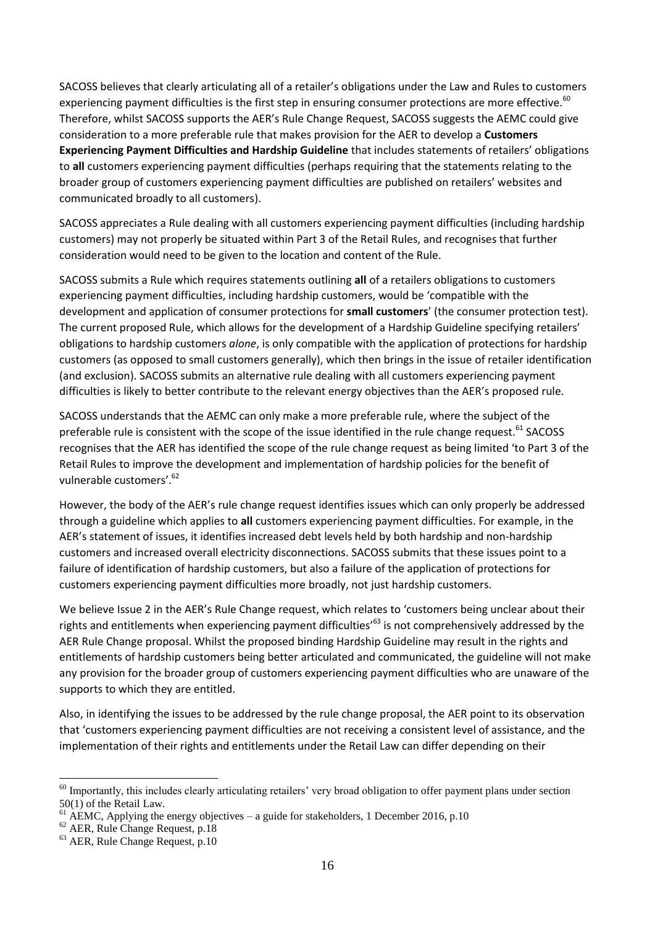SACOSS believes that clearly articulating all of a retailer's obligations under the Law and Rules to customers experiencing payment difficulties is the first step in ensuring consumer protections are more effective.<sup>60</sup> Therefore, whilst SACOSS supports the AER's Rule Change Request, SACOSS suggests the AEMC could give consideration to a more preferable rule that makes provision for the AER to develop a **Customers Experiencing Payment Difficulties and Hardship Guideline** that includes statements of retailers' obligations to **all** customers experiencing payment difficulties (perhaps requiring that the statements relating to the broader group of customers experiencing payment difficulties are published on retailers' websites and communicated broadly to all customers).

SACOSS appreciates a Rule dealing with all customers experiencing payment difficulties (including hardship customers) may not properly be situated within Part 3 of the Retail Rules, and recognises that further consideration would need to be given to the location and content of the Rule.

SACOSS submits a Rule which requires statements outlining **all** of a retailers obligations to customers experiencing payment difficulties, including hardship customers, would be 'compatible with the development and application of consumer protections for **small customers**' (the consumer protection test). The current proposed Rule, which allows for the development of a Hardship Guideline specifying retailers' obligations to hardship customers *alone*, is only compatible with the application of protections for hardship customers (as opposed to small customers generally), which then brings in the issue of retailer identification (and exclusion). SACOSS submits an alternative rule dealing with all customers experiencing payment difficulties is likely to better contribute to the relevant energy objectives than the AER's proposed rule.

SACOSS understands that the AEMC can only make a more preferable rule, where the subject of the preferable rule is consistent with the scope of the issue identified in the rule change request.<sup>61</sup> SACOSS recognises that the AER has identified the scope of the rule change request as being limited 'to Part 3 of the Retail Rules to improve the development and implementation of hardship policies for the benefit of vulnerable customers'.<sup>62</sup>

However, the body of the AER's rule change request identifies issues which can only properly be addressed through a guideline which applies to **all** customers experiencing payment difficulties. For example, in the AER's statement of issues, it identifies increased debt levels held by both hardship and non-hardship customers and increased overall electricity disconnections. SACOSS submits that these issues point to a failure of identification of hardship customers, but also a failure of the application of protections for customers experiencing payment difficulties more broadly, not just hardship customers.

We believe Issue 2 in the AER's Rule Change request, which relates to 'customers being unclear about their rights and entitlements when experiencing payment difficulties<sup>'63</sup> is not comprehensively addressed by the AER Rule Change proposal. Whilst the proposed binding Hardship Guideline may result in the rights and entitlements of hardship customers being better articulated and communicated, the guideline will not make any provision for the broader group of customers experiencing payment difficulties who are unaware of the supports to which they are entitled.

Also, in identifying the issues to be addressed by the rule change proposal, the AER point to its observation that 'customers experiencing payment difficulties are not receiving a consistent level of assistance, and the implementation of their rights and entitlements under the Retail Law can differ depending on their

<sup>&</sup>lt;u>.</u> <sup>60</sup> Importantly, this includes clearly articulating retailers' very broad obligation to offer payment plans under section 50(1) of the Retail Law.

 $^{61}$  AEMC, Applying the energy objectives – a guide for stakeholders, 1 December 2016, p.10

 $62$  AER, Rule Change Request, p.18

<sup>63</sup> AER, Rule Change Request, p.10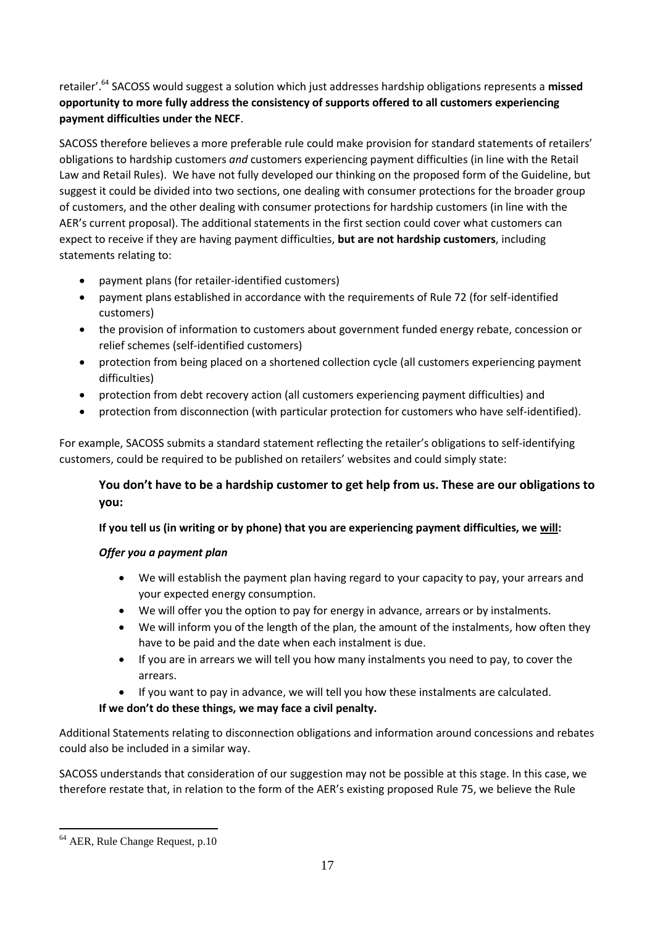retailer'.<sup>64</sup> SACOSS would suggest a solution which just addresses hardship obligations represents a **missed opportunity to more fully address the consistency of supports offered to all customers experiencing payment difficulties under the NECF**.

SACOSS therefore believes a more preferable rule could make provision for standard statements of retailers' obligations to hardship customers *and* customers experiencing payment difficulties (in line with the Retail Law and Retail Rules). We have not fully developed our thinking on the proposed form of the Guideline, but suggest it could be divided into two sections, one dealing with consumer protections for the broader group of customers, and the other dealing with consumer protections for hardship customers (in line with the AER's current proposal). The additional statements in the first section could cover what customers can expect to receive if they are having payment difficulties, **but are not hardship customers**, including statements relating to:

- payment plans (for retailer-identified customers)
- payment plans established in accordance with the requirements of Rule 72 (for self-identified customers)
- the provision of information to customers about government funded energy rebate, concession or relief schemes (self-identified customers)
- protection from being placed on a shortened collection cycle (all customers experiencing payment difficulties)
- protection from debt recovery action (all customers experiencing payment difficulties) and
- protection from disconnection (with particular protection for customers who have self-identified).

For example, SACOSS submits a standard statement reflecting the retailer's obligations to self-identifying customers, could be required to be published on retailers' websites and could simply state:

# **You don't have to be a hardship customer to get help from us. These are our obligations to you:**

## **If you tell us (in writing or by phone) that you are experiencing payment difficulties, we will:**

## *Offer you a payment plan*

- We will establish the payment plan having regard to your capacity to pay, your arrears and your expected energy consumption.
- We will offer you the option to pay for energy in advance, arrears or by instalments.
- We will inform you of the length of the plan, the amount of the instalments, how often they have to be paid and the date when each instalment is due.
- If you are in arrears we will tell you how many instalments you need to pay, to cover the arrears.
- If you want to pay in advance, we will tell you how these instalments are calculated.

## **If we don't do these things, we may face a civil penalty.**

Additional Statements relating to disconnection obligations and information around concessions and rebates could also be included in a similar way.

SACOSS understands that consideration of our suggestion may not be possible at this stage. In this case, we therefore restate that, in relation to the form of the AER's existing proposed Rule 75, we believe the Rule

<sup>1</sup> <sup>64</sup> AER, Rule Change Request, p.10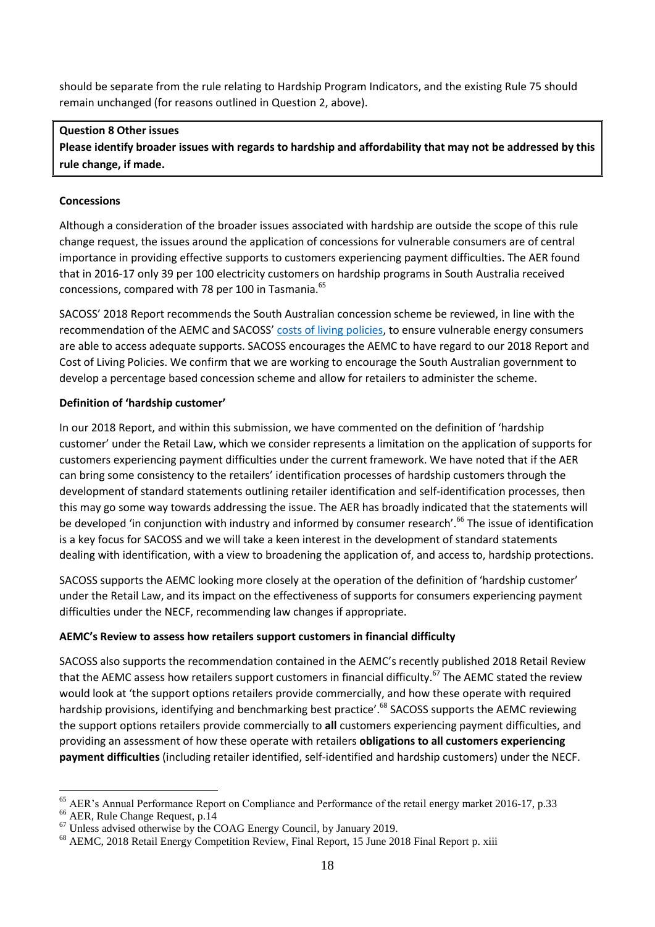should be separate from the rule relating to Hardship Program Indicators, and the existing Rule 75 should remain unchanged (for reasons outlined in Question 2, above).

### **Question 8 Other issues**

**Please identify broader issues with regards to hardship and affordability that may not be addressed by this rule change, if made.**

### **Concessions**

Although a consideration of the broader issues associated with hardship are outside the scope of this rule change request, the issues around the application of concessions for vulnerable consumers are of central importance in providing effective supports to customers experiencing payment difficulties. The AER found that in 2016-17 only 39 per 100 electricity customers on hardship programs in South Australia received concessions, compared with 78 per 100 in Tasmania.<sup>65</sup>

SACOSS' 2018 Report recommends the South Australian concession scheme be reviewed, in line with the recommendation of the AEMC and SACOSS' [costs of living policies,](https://www.sacoss.org.au/sites/default/files/Cost%20of%20Living%20Policies_FINAL.pdf) to ensure vulnerable energy consumers are able to access adequate supports. SACOSS encourages the AEMC to have regard to our 2018 Report and Cost of Living Policies. We confirm that we are working to encourage the South Australian government to develop a percentage based concession scheme and allow for retailers to administer the scheme.

### **Definition of 'hardship customer'**

In our 2018 Report, and within this submission, we have commented on the definition of 'hardship customer' under the Retail Law, which we consider represents a limitation on the application of supports for customers experiencing payment difficulties under the current framework. We have noted that if the AER can bring some consistency to the retailers' identification processes of hardship customers through the development of standard statements outlining retailer identification and self-identification processes, then this may go some way towards addressing the issue. The AER has broadly indicated that the statements will be developed 'in conjunction with industry and informed by consumer research'.<sup>66</sup> The issue of identification is a key focus for SACOSS and we will take a keen interest in the development of standard statements dealing with identification, with a view to broadening the application of, and access to, hardship protections.

SACOSS supports the AEMC looking more closely at the operation of the definition of 'hardship customer' under the Retail Law, and its impact on the effectiveness of supports for consumers experiencing payment difficulties under the NECF, recommending law changes if appropriate.

## **AEMC's Review to assess how retailers support customers in financial difficulty**

SACOSS also supports the recommendation contained in the AEMC's recently published 2018 Retail Review that the AEMC assess how retailers support customers in financial difficulty.<sup>67</sup> The AEMC stated the review would look at 'the support options retailers provide commercially, and how these operate with required hardship provisions, identifying and benchmarking best practice'.<sup>68</sup> SACOSS supports the AEMC reviewing the support options retailers provide commercially to **all** customers experiencing payment difficulties, and providing an assessment of how these operate with retailers **obligations to all customers experiencing payment difficulties** (including retailer identified, self-identified and hardship customers) under the NECF.

 $66$  AER, Rule Change Request, p.14

<sup>&</sup>lt;sup>65</sup> AER's Annual Performance Report on Compliance and Performance of the retail energy market 2016-17, p.33

<sup>&</sup>lt;sup>67</sup> Unless advised otherwise by the COAG Energy Council, by January 2019.

<sup>68</sup> AEMC, 2018 Retail Energy Competition Review, Final Report, 15 June 2018 Final Report p. xiii